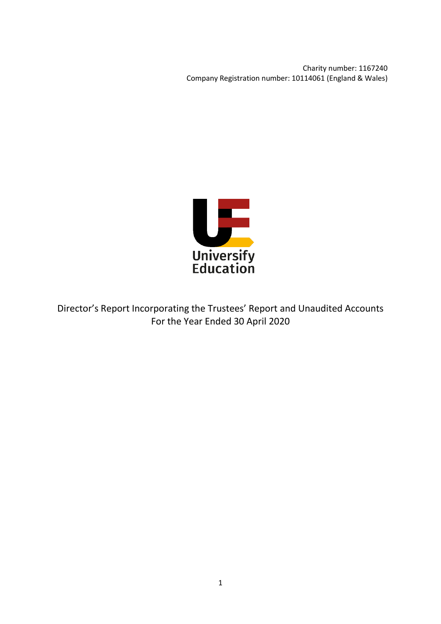Charity number: 1167240 Company Registration number: 10114061 (England & Wales)



Director's Report Incorporating the Trustees' Report and Unaudited Accounts For the Year Ended 30 April 2020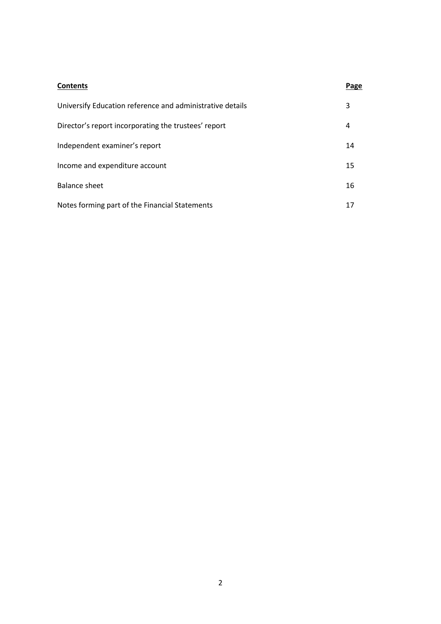| <b>Contents</b>                                           | Page |
|-----------------------------------------------------------|------|
| Universify Education reference and administrative details | 3    |
| Director's report incorporating the trustees' report      | 4    |
| Independent examiner's report                             | 14   |
| Income and expenditure account                            | 15   |
| Balance sheet                                             | 16   |
| Notes forming part of the Financial Statements            | 17   |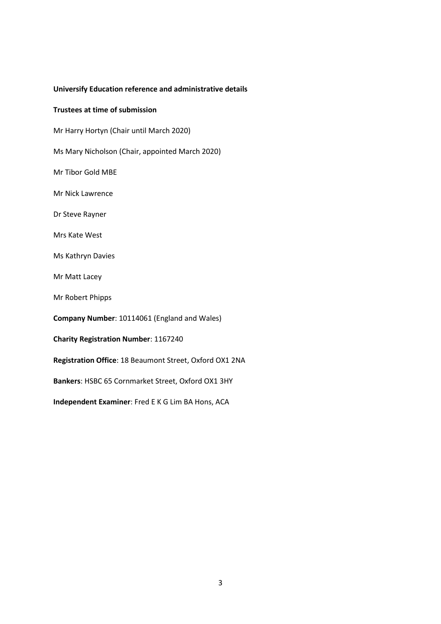## **Universify Education reference and administrative details**

## **Trustees at time of submission**

Mr Harry Hortyn (Chair until March 2020)

Ms Mary Nicholson (Chair, appointed March 2020)

Mr Tibor Gold MBE

Mr Nick Lawrence

Dr Steve Rayner

Mrs Kate West

Ms Kathryn Davies

Mr Matt Lacey

Mr Robert Phipps

**Company Number**: 10114061 (England and Wales)

**Charity Registration Number**: 1167240

**Registration Office**: 18 Beaumont Street, Oxford OX1 2NA

**Bankers**: HSBC 65 Cornmarket Street, Oxford OX1 3HY

**Independent Examiner**: Fred E K G Lim BA Hons, ACA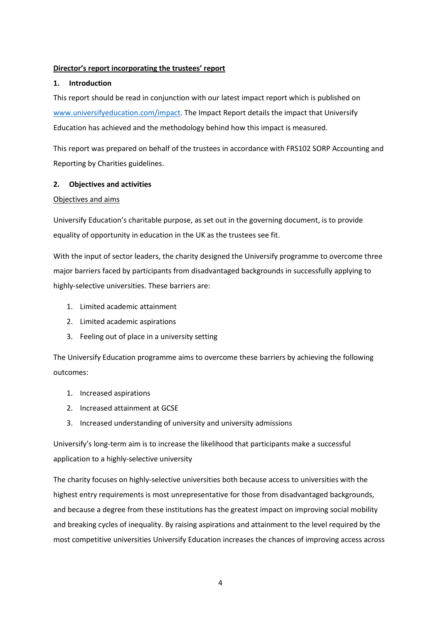# **Director's report incorporating the trustees' report**

# **1. Introduction**

This report should be read in conjunction with our latest impact report which is published on [www.universifyeducation.com/impact.](http://www.universifyeducation.com/impact) The Impact Report details the impact that Universify Education has achieved and the methodology behind how this impact is measured.

This report was prepared on behalf of the trustees in accordance with FRS102 SORP Accounting and Reporting by Charities guidelines.

# **2. Objectives and activities**

# Objectives and aims

Universify Education's charitable purpose, as set out in the governing document, is to provide equality of opportunity in education in the UK as the trustees see fit.

With the input of sector leaders, the charity designed the Universify programme to overcome three major barriers faced by participants from disadvantaged backgrounds in successfully applying to highly-selective universities. These barriers are:

- 1. Limited academic attainment
- 2. Limited academic aspirations
- 3. Feeling out of place in a university setting

The Universify Education programme aims to overcome these barriers by achieving the following outcomes:

- 1. Increased aspirations
- 2. Increased attainment at GCSE
- 3. Increased understanding of university and university admissions

Universify's long-term aim is to increase the likelihood that participants make a successful application to a highly-selective university

The charity focuses on highly-selective universities both because access to universities with the highest entry requirements is most unrepresentative for those from disadvantaged backgrounds, and because a degree from these institutions has the greatest impact on improving social mobility and breaking cycles of inequality. By raising aspirations and attainment to the level required by the most competitive universities Universify Education increases the chances of improving access across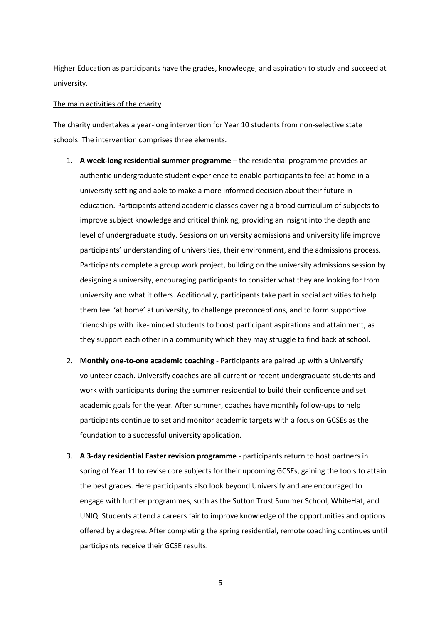Higher Education as participants have the grades, knowledge, and aspiration to study and succeed at university.

#### The main activities of the charity

The charity undertakes a year-long intervention for Year 10 students from non-selective state schools. The intervention comprises three elements.

- 1. **A week-long residential summer programme** the residential programme provides an authentic undergraduate student experience to enable participants to feel at home in a university setting and able to make a more informed decision about their future in education. Participants attend academic classes covering a broad curriculum of subjects to improve subject knowledge and critical thinking, providing an insight into the depth and level of undergraduate study. Sessions on university admissions and university life improve participants' understanding of universities, their environment, and the admissions process. Participants complete a group work project, building on the university admissions session by designing a university, encouraging participants to consider what they are looking for from university and what it offers. Additionally, participants take part in social activities to help them feel 'at home' at university, to challenge preconceptions, and to form supportive friendships with like-minded students to boost participant aspirations and attainment, as they support each other in a community which they may struggle to find back at school.
- 2. **Monthly one-to-one academic coaching** Participants are paired up with a Universify volunteer coach. Universify coaches are all current or recent undergraduate students and work with participants during the summer residential to build their confidence and set academic goals for the year. After summer, coaches have monthly follow-ups to help participants continue to set and monitor academic targets with a focus on GCSEs as the foundation to a successful university application.
- 3. **A 3-day residential Easter revision programme** participants return to host partners in spring of Year 11 to revise core subjects for their upcoming GCSEs, gaining the tools to attain the best grades. Here participants also look beyond Universify and are encouraged to engage with further programmes, such as the Sutton Trust Summer School, WhiteHat, and UNIQ. Students attend a careers fair to improve knowledge of the opportunities and options offered by a degree. After completing the spring residential, remote coaching continues until participants receive their GCSE results.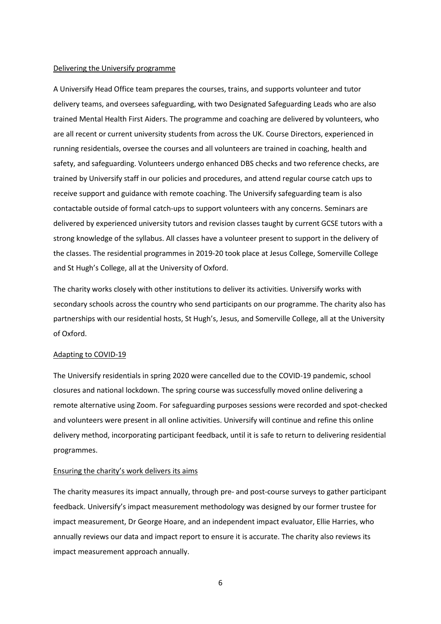#### Delivering the Universify programme

A Universify Head Office team prepares the courses, trains, and supports volunteer and tutor delivery teams, and oversees safeguarding, with two Designated Safeguarding Leads who are also trained Mental Health First Aiders. The programme and coaching are delivered by volunteers, who are all recent or current university students from across the UK. Course Directors, experienced in running residentials, oversee the courses and all volunteers are trained in coaching, health and safety, and safeguarding. Volunteers undergo enhanced DBS checks and two reference checks, are trained by Universify staff in our policies and procedures, and attend regular course catch ups to receive support and guidance with remote coaching. The Universify safeguarding team is also contactable outside of formal catch-ups to support volunteers with any concerns. Seminars are delivered by experienced university tutors and revision classes taught by current GCSE tutors with a strong knowledge of the syllabus. All classes have a volunteer present to support in the delivery of the classes. The residential programmes in 2019-20 took place at Jesus College, Somerville College and St Hugh's College, all at the University of Oxford.

The charity works closely with other institutions to deliver its activities. Universify works with secondary schools across the country who send participants on our programme. The charity also has partnerships with our residential hosts, St Hugh's, Jesus, and Somerville College, all at the University of Oxford.

#### Adapting to COVID-19

The Universify residentials in spring 2020 were cancelled due to the COVID-19 pandemic, school closures and national lockdown. The spring course was successfully moved online delivering a remote alternative using Zoom. For safeguarding purposes sessions were recorded and spot-checked and volunteers were present in all online activities. Universify will continue and refine this online delivery method, incorporating participant feedback, until it is safe to return to delivering residential programmes.

#### Ensuring the charity's work delivers its aims

The charity measures its impact annually, through pre- and post-course surveys to gather participant feedback. Universify's impact measurement methodology was designed by our former trustee for impact measurement, Dr George Hoare, and an independent impact evaluator, Ellie Harries, who annually reviews our data and impact report to ensure it is accurate. The charity also reviews its impact measurement approach annually.

6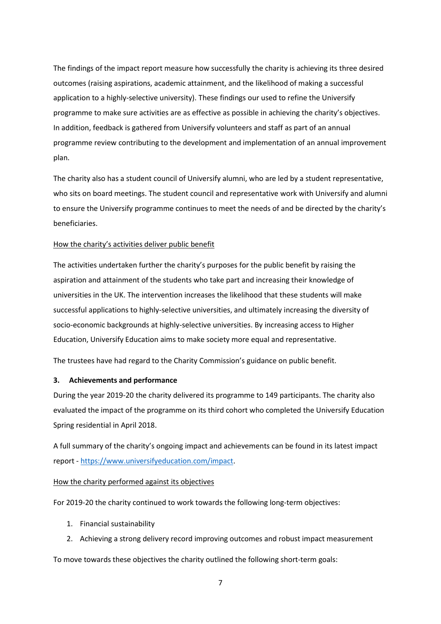The findings of the impact report measure how successfully the charity is achieving its three desired outcomes (raising aspirations, academic attainment, and the likelihood of making a successful application to a highly-selective university). These findings our used to refine the Universify programme to make sure activities are as effective as possible in achieving the charity's objectives. In addition, feedback is gathered from Universify volunteers and staff as part of an annual programme review contributing to the development and implementation of an annual improvement plan.

The charity also has a student council of Universify alumni, who are led by a student representative, who sits on board meetings. The student council and representative work with Universify and alumni to ensure the Universify programme continues to meet the needs of and be directed by the charity's beneficiaries.

### How the charity's activities deliver public benefit

The activities undertaken further the charity's purposes for the public benefit by raising the aspiration and attainment of the students who take part and increasing their knowledge of universities in the UK. The intervention increases the likelihood that these students will make successful applications to highly-selective universities, and ultimately increasing the diversity of socio-economic backgrounds at highly-selective universities. By increasing access to Higher Education, Universify Education aims to make society more equal and representative.

The trustees have had regard to the Charity Commission's guidance on public benefit.

#### **3. Achievements and performance**

During the year 2019-20 the charity delivered its programme to 149 participants. The charity also evaluated the impact of the programme on its third cohort who completed the Universify Education Spring residential in April 2018.

A full summary of the charity's ongoing impact and achievements can be found in its latest impact report - [https://www.universifyeducation.com/impact.](https://www.universifyeducation.com/impact)

#### How the charity performed against its objectives

For 2019-20 the charity continued to work towards the following long-term objectives:

- 1. Financial sustainability
- 2. Achieving a strong delivery record improving outcomes and robust impact measurement

To move towards these objectives the charity outlined the following short-term goals: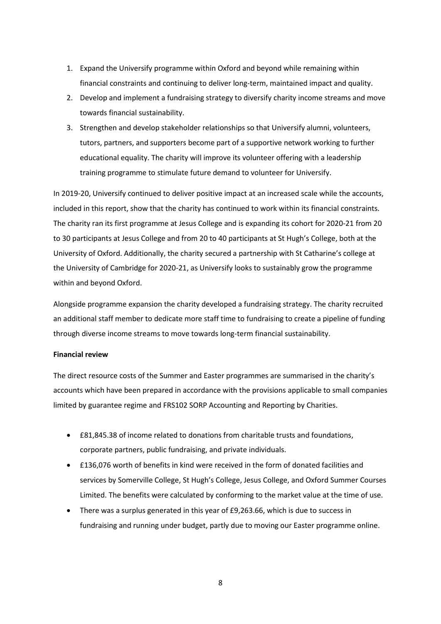- 1. Expand the Universify programme within Oxford and beyond while remaining within financial constraints and continuing to deliver long-term, maintained impact and quality.
- 2. Develop and implement a fundraising strategy to diversify charity income streams and move towards financial sustainability.
- 3. Strengthen and develop stakeholder relationships so that Universify alumni, volunteers, tutors, partners, and supporters become part of a supportive network working to further educational equality. The charity will improve its volunteer offering with a leadership training programme to stimulate future demand to volunteer for Universify.

In 2019-20, Universify continued to deliver positive impact at an increased scale while the accounts, included in this report, show that the charity has continued to work within its financial constraints. The charity ran its first programme at Jesus College and is expanding its cohort for 2020-21 from 20 to 30 participants at Jesus College and from 20 to 40 participants at St Hugh's College, both at the University of Oxford. Additionally, the charity secured a partnership with St Catharine's college at the University of Cambridge for 2020-21, as Universify looks to sustainably grow the programme within and beyond Oxford.

Alongside programme expansion the charity developed a fundraising strategy. The charity recruited an additional staff member to dedicate more staff time to fundraising to create a pipeline of funding through diverse income streams to move towards long-term financial sustainability.

## **Financial review**

The direct resource costs of the Summer and Easter programmes are summarised in the charity's accounts which have been prepared in accordance with the provisions applicable to small companies limited by guarantee regime and FRS102 SORP Accounting and Reporting by Charities.

- £81,845.38 of income related to donations from charitable trusts and foundations, corporate partners, public fundraising, and private individuals.
- £136,076 worth of benefits in kind were received in the form of donated facilities and services by Somerville College, St Hugh's College, Jesus College, and Oxford Summer Courses Limited. The benefits were calculated by conforming to the market value at the time of use.
- There was a surplus generated in this year of £9,263.66, which is due to success in fundraising and running under budget, partly due to moving our Easter programme online.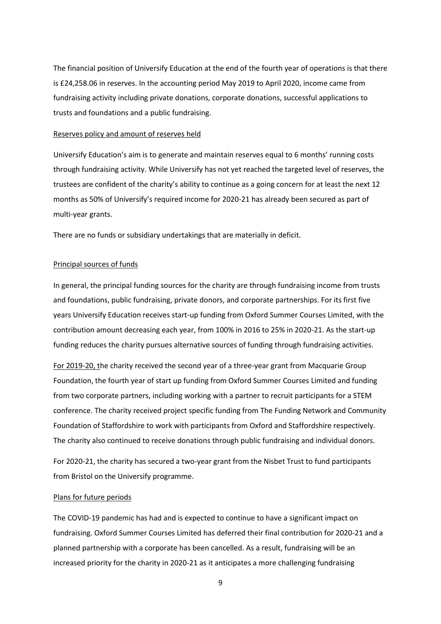The financial position of Universify Education at the end of the fourth year of operations is that there is £24,258.06 in reserves. In the accounting period May 2019 to April 2020, income came from fundraising activity including private donations, corporate donations, successful applications to trusts and foundations and a public fundraising.

#### Reserves policy and amount of reserves held

Universify Education's aim is to generate and maintain reserves equal to 6 months' running costs through fundraising activity. While Universify has not yet reached the targeted level of reserves, the trustees are confident of the charity's ability to continue as a going concern for at least the next 12 months as 50% of Universify's required income for 2020-21 has already been secured as part of multi-year grants.

There are no funds or subsidiary undertakings that are materially in deficit.

### Principal sources of funds

In general, the principal funding sources for the charity are through fundraising income from trusts and foundations, public fundraising, private donors, and corporate partnerships. For its first five years Universify Education receives start-up funding from Oxford Summer Courses Limited, with the contribution amount decreasing each year, from 100% in 2016 to 25% in 2020-21. As the start-up funding reduces the charity pursues alternative sources of funding through fundraising activities.

For 2019-20, the charity received the second year of a three-year grant from Macquarie Group Foundation, the fourth year of start up funding from Oxford Summer Courses Limited and funding from two corporate partners, including working with a partner to recruit participants for a STEM conference. The charity received project specific funding from The Funding Network and Community Foundation of Staffordshire to work with participants from Oxford and Staffordshire respectively. The charity also continued to receive donations through public fundraising and individual donors.

For 2020-21, the charity has secured a two-year grant from the Nisbet Trust to fund participants from Bristol on the Universify programme.

#### Plans for future periods

The COVID-19 pandemic has had and is expected to continue to have a significant impact on fundraising. Oxford Summer Courses Limited has deferred their final contribution for 2020-21 and a planned partnership with a corporate has been cancelled. As a result, fundraising will be an increased priority for the charity in 2020-21 as it anticipates a more challenging fundraising

9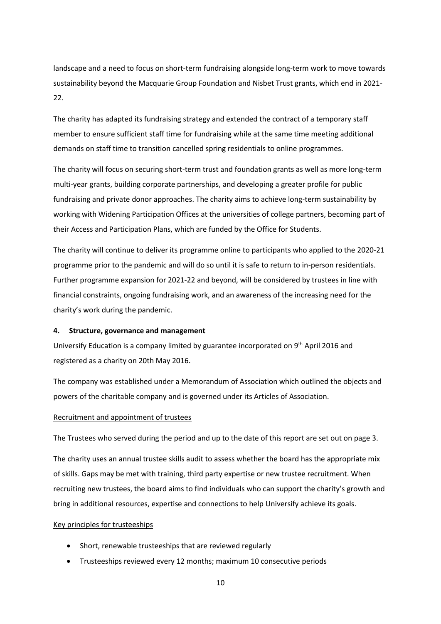landscape and a need to focus on short-term fundraising alongside long-term work to move towards sustainability beyond the Macquarie Group Foundation and Nisbet Trust grants, which end in 2021- 22.

The charity has adapted its fundraising strategy and extended the contract of a temporary staff member to ensure sufficient staff time for fundraising while at the same time meeting additional demands on staff time to transition cancelled spring residentials to online programmes.

The charity will focus on securing short-term trust and foundation grants as well as more long-term multi-year grants, building corporate partnerships, and developing a greater profile for public fundraising and private donor approaches. The charity aims to achieve long-term sustainability by working with Widening Participation Offices at the universities of college partners, becoming part of their Access and Participation Plans, which are funded by the Office for Students.

The charity will continue to deliver its programme online to participants who applied to the 2020-21 programme prior to the pandemic and will do so until it is safe to return to in-person residentials. Further programme expansion for 2021-22 and beyond, will be considered by trustees in line with financial constraints, ongoing fundraising work, and an awareness of the increasing need for the charity's work during the pandemic.

### **4. Structure, governance and management**

Universify Education is a company limited by guarantee incorporated on 9<sup>th</sup> April 2016 and registered as a charity on 20th May 2016.

The company was established under a Memorandum of Association which outlined the objects and powers of the charitable company and is governed under its Articles of Association.

## Recruitment and appointment of trustees

The Trustees who served during the period and up to the date of this report are set out on page 3.

The charity uses an annual trustee skills audit to assess whether the board has the appropriate mix of skills. Gaps may be met with training, third party expertise or new trustee recruitment. When recruiting new trustees, the board aims to find individuals who can support the charity's growth and bring in additional resources, expertise and connections to help Universify achieve its goals.

#### Key principles for trusteeships

- Short, renewable trusteeships that are reviewed regularly
- Trusteeships reviewed every 12 months; maximum 10 consecutive periods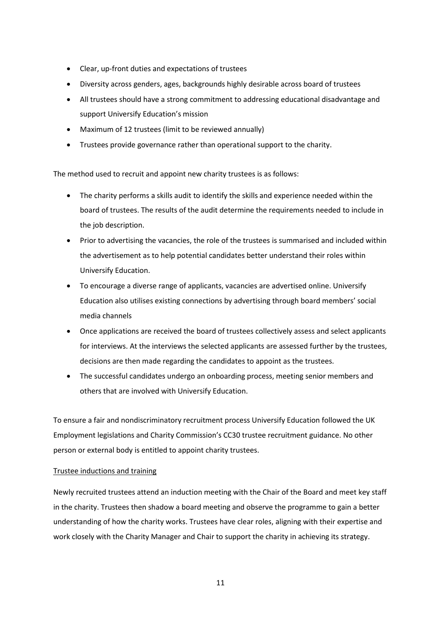- Clear, up-front duties and expectations of trustees
- Diversity across genders, ages, backgrounds highly desirable across board of trustees
- All trustees should have a strong commitment to addressing educational disadvantage and support Universify Education's mission
- Maximum of 12 trustees (limit to be reviewed annually)
- Trustees provide governance rather than operational support to the charity.

The method used to recruit and appoint new charity trustees is as follows:

- The charity performs a skills audit to identify the skills and experience needed within the board of trustees. The results of the audit determine the requirements needed to include in the job description.
- Prior to advertising the vacancies, the role of the trustees is summarised and included within the advertisement as to help potential candidates better understand their roles within Universify Education.
- To encourage a diverse range of applicants, vacancies are advertised online. Universify Education also utilises existing connections by advertising through board members' social media channels
- Once applications are received the board of trustees collectively assess and select applicants for interviews. At the interviews the selected applicants are assessed further by the trustees, decisions are then made regarding the candidates to appoint as the trustees.
- The successful candidates undergo an onboarding process, meeting senior members and others that are involved with Universify Education.

To ensure a fair and nondiscriminatory recruitment process Universify Education followed the UK Employment legislations and Charity Commission's CC30 trustee recruitment guidance. No other person or external body is entitled to appoint charity trustees.

# Trustee inductions and training

Newly recruited trustees attend an induction meeting with the Chair of the Board and meet key staff in the charity. Trustees then shadow a board meeting and observe the programme to gain a better understanding of how the charity works. Trustees have clear roles, aligning with their expertise and work closely with the Charity Manager and Chair to support the charity in achieving its strategy.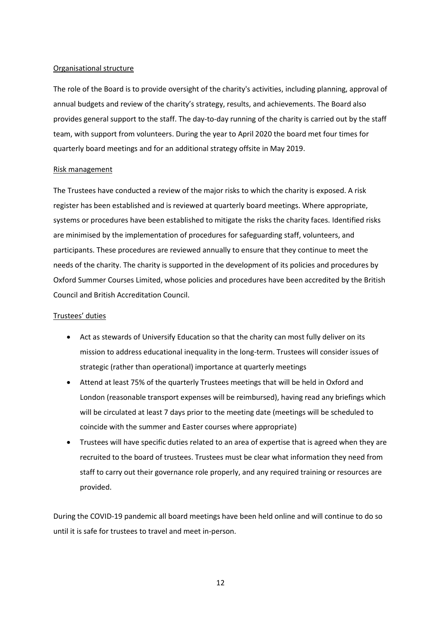### Organisational structure

The role of the Board is to provide oversight of the charity's activities, including planning, approval of annual budgets and review of the charity's strategy, results, and achievements. The Board also provides general support to the staff. The day-to-day running of the charity is carried out by the staff team, with support from volunteers. During the year to April 2020 the board met four times for quarterly board meetings and for an additional strategy offsite in May 2019.

#### Risk management

The Trustees have conducted a review of the major risks to which the charity is exposed. A risk register has been established and is reviewed at quarterly board meetings. Where appropriate, systems or procedures have been established to mitigate the risks the charity faces. Identified risks are minimised by the implementation of procedures for safeguarding staff, volunteers, and participants. These procedures are reviewed annually to ensure that they continue to meet the needs of the charity. The charity is supported in the development of its policies and procedures by Oxford Summer Courses Limited, whose policies and procedures have been accredited by the British Council and British Accreditation Council.

## Trustees' duties

- Act as stewards of Universify Education so that the charity can most fully deliver on its mission to address educational inequality in the long-term. Trustees will consider issues of strategic (rather than operational) importance at quarterly meetings
- Attend at least 75% of the quarterly Trustees meetings that will be held in Oxford and London (reasonable transport expenses will be reimbursed), having read any briefings which will be circulated at least 7 days prior to the meeting date (meetings will be scheduled to coincide with the summer and Easter courses where appropriate)
- Trustees will have specific duties related to an area of expertise that is agreed when they are recruited to the board of trustees. Trustees must be clear what information they need from staff to carry out their governance role properly, and any required training or resources are provided.

During the COVID-19 pandemic all board meetings have been held online and will continue to do so until it is safe for trustees to travel and meet in-person.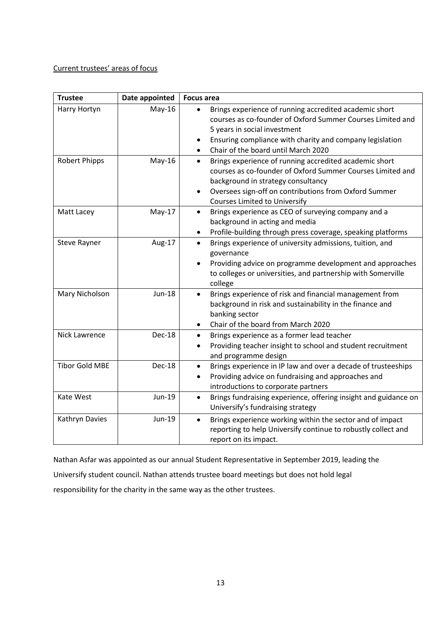# Current trustees' areas of focus

| <b>Trustee</b>        | Date appointed | <b>Focus area</b>                                                                                                                                                                                                                                                                     |
|-----------------------|----------------|---------------------------------------------------------------------------------------------------------------------------------------------------------------------------------------------------------------------------------------------------------------------------------------|
| Harry Hortyn          | $May-16$       | Brings experience of running accredited academic short<br>courses as co-founder of Oxford Summer Courses Limited and<br>5 years in social investment<br>Ensuring compliance with charity and company legislation<br>$\bullet$<br>Chair of the board until March 2020<br>$\bullet$     |
| <b>Robert Phipps</b>  | $May-16$       | Brings experience of running accredited academic short<br>$\bullet$<br>courses as co-founder of Oxford Summer Courses Limited and<br>background in strategy consultancy<br>Oversees sign-off on contributions from Oxford Summer<br>$\bullet$<br><b>Courses Limited to Universify</b> |
| Matt Lacey            | May-17         | Brings experience as CEO of surveying company and a<br>$\bullet$<br>background in acting and media<br>Profile-building through press coverage, speaking platforms<br>$\bullet$                                                                                                        |
| Steve Rayner          | Aug-17         | Brings experience of university admissions, tuition, and<br>$\bullet$<br>governance<br>Providing advice on programme development and approaches<br>$\bullet$<br>to colleges or universities, and partnership with Somerville<br>college                                               |
| Mary Nicholson        | <b>Jun-18</b>  | Brings experience of risk and financial management from<br>$\bullet$<br>background in risk and sustainability in the finance and<br>banking sector<br>Chair of the board from March 2020<br>٠                                                                                         |
| <b>Nick Lawrence</b>  | Dec-18         | Brings experience as a former lead teacher<br>$\bullet$<br>Providing teacher insight to school and student recruitment<br>$\bullet$<br>and programme design                                                                                                                           |
| <b>Tibor Gold MBE</b> | Dec-18         | Brings experience in IP law and over a decade of trusteeships<br>$\bullet$<br>Providing advice on fundraising and approaches and<br>introductions to corporate partners                                                                                                               |
| Kate West             | Jun-19         | Brings fundraising experience, offering insight and guidance on<br>$\bullet$<br>Universify's fundraising strategy                                                                                                                                                                     |
| Kathryn Davies        | Jun-19         | Brings experience working within the sector and of impact<br>$\bullet$<br>reporting to help Universify continue to robustly collect and<br>report on its impact.                                                                                                                      |

Nathan Asfar was appointed as our annual Student Representative in September 2019, leading the Universify student council. Nathan attends trustee board meetings but does not hold legal responsibility for the charity in the same way as the other trustees.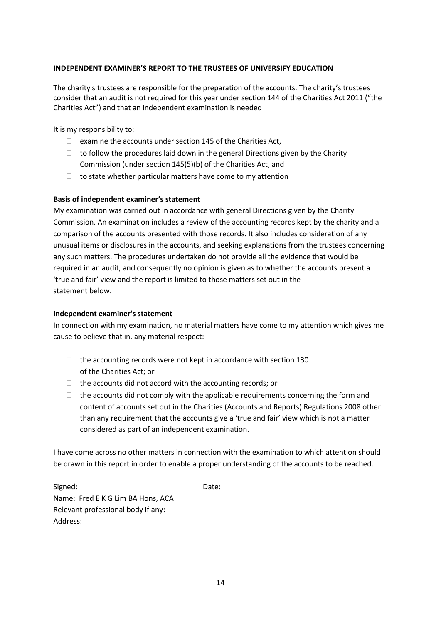# **INDEPENDENT EXAMINER'S REPORT TO THE TRUSTEES OF UNIVERSIFY EDUCATION**

The charity's trustees are responsible for the preparation of the accounts. The charity's trustees consider that an audit is not required for this year under section 144 of the Charities Act 2011 ("the Charities Act") and that an independent examination is needed

It is my responsibility to:

- $\Box$  examine the accounts under section 145 of the Charities Act,
- $\Box$  to follow the procedures laid down in the general Directions given by the Charity Commission (under section 145(5)(b) of the Charities Act, and
- $\Box$  to state whether particular matters have come to my attention

## **Basis of independent examiner's statement**

My examination was carried out in accordance with general Directions given by the Charity Commission. An examination includes a review of the accounting records kept by the charity and a comparison of the accounts presented with those records. It also includes consideration of any unusual items or disclosures in the accounts, and seeking explanations from the trustees concerning any such matters. The procedures undertaken do not provide all the evidence that would be required in an audit, and consequently no opinion is given as to whether the accounts present a 'true and fair' view and the report is limited to those matters set out in the statement below.

#### **Independent examiner's statement**

In connection with my examination, no material matters have come to my attention which gives me cause to believe that in, any material respect:

- $\Box$  the accounting records were not kept in accordance with section 130 of the Charities Act; or
- $\Box$  the accounts did not accord with the accounting records; or
- $\Box$  the accounts did not comply with the applicable requirements concerning the form and content of accounts set out in the Charities (Accounts and Reports) Regulations 2008 other than any requirement that the accounts give a 'true and fair' view which is not a matter considered as part of an independent examination.

I have come across no other matters in connection with the examination to which attention should be drawn in this report in order to enable a proper understanding of the accounts to be reached.

Signed: Date: Name: Fred E K G Lim BA Hons, ACA Relevant professional body if any: Address: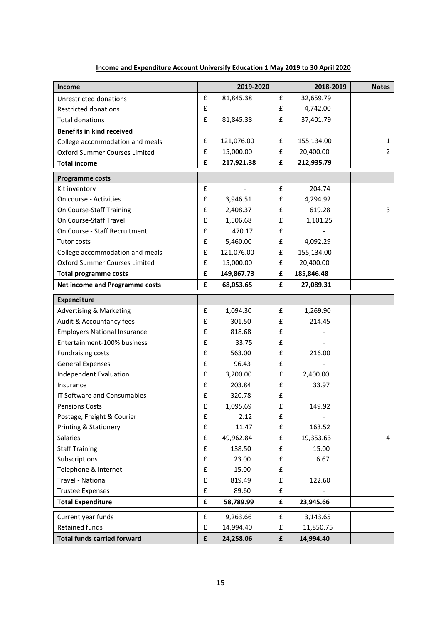| Income                                |                    | 2019-2020  |                    | 2018-2019  | <b>Notes</b>   |
|---------------------------------------|--------------------|------------|--------------------|------------|----------------|
| Unrestricted donations                | £                  | 81,845.38  | £                  | 32,659.79  |                |
| <b>Restricted donations</b>           | £                  |            | £                  | 4,742.00   |                |
| <b>Total donations</b>                | £                  | 81,845.38  | £                  | 37,401.79  |                |
| <b>Benefits in kind received</b>      |                    |            |                    |            |                |
| College accommodation and meals       | £                  | 121,076.00 | £                  | 155,134.00 | 1              |
| Oxford Summer Courses Limited         | £                  | 15,000.00  | £                  | 20,400.00  | $\overline{2}$ |
| <b>Total income</b>                   | £                  | 217,921.38 | £                  | 212,935.79 |                |
| <b>Programme costs</b>                |                    |            |                    |            |                |
| Kit inventory                         | $\pmb{\mathsf{f}}$ |            | £                  | 204.74     |                |
| On course - Activities                | £                  | 3,946.51   | £                  | 4,294.92   |                |
| On Course-Staff Training              | £                  | 2,408.37   | £                  | 619.28     | 3              |
| On Course-Staff Travel                | £                  | 1,506.68   | £                  | 1,101.25   |                |
| On Course - Staff Recruitment         | £                  | 470.17     | £                  |            |                |
| Tutor costs                           | £                  | 5,460.00   | £                  | 4,092.29   |                |
| College accommodation and meals       | £                  | 121,076.00 | £                  | 155,134.00 |                |
| Oxford Summer Courses Limited         | £                  | 15,000.00  | £                  | 20,400.00  |                |
| <b>Total programme costs</b>          | £                  | 149,867.73 | £                  | 185,846.48 |                |
| <b>Net income and Programme costs</b> | £                  | 68,053.65  | £                  | 27,089.31  |                |
| <b>Expenditure</b>                    |                    |            |                    |            |                |
| <b>Advertising &amp; Marketing</b>    | £                  | 1,094.30   | £                  | 1,269.90   |                |
| Audit & Accountancy fees              | £                  | 301.50     | £                  | 214.45     |                |
| <b>Employers National Insurance</b>   | £                  | 818.68     | £                  |            |                |
| Entertainment-100% business           | £                  | 33.75      | $\pmb{\mathsf{f}}$ |            |                |
| <b>Fundraising costs</b>              | £                  | 563.00     | £                  | 216.00     |                |
| <b>General Expenses</b>               | £                  | 96.43      | £                  |            |                |
| Independent Evaluation                | £                  | 3,200.00   | £                  | 2,400.00   |                |
| Insurance                             | £                  | 203.84     | £                  | 33.97      |                |
| IT Software and Consumables           | £                  | 320.78     | £                  |            |                |
| <b>Pensions Costs</b>                 | £                  | 1,095.69   | £                  | 149.92     |                |
| Postage, Freight & Courier            | £                  | 2.12       | £                  |            |                |
| <b>Printing &amp; Stationery</b>      | £                  | 11.47      | $\pmb{\mathsf{f}}$ | 163.52     |                |
| Salaries                              | £                  | 49,962.84  | £                  | 19,353.63  | 4              |
| <b>Staff Training</b>                 | $\pmb{\mathsf{f}}$ | 138.50     | £                  | 15.00      |                |
| Subscriptions                         | £                  | 23.00      | $\pmb{\mathsf{f}}$ | 6.67       |                |
| Telephone & Internet                  | $\pmb{\mathsf{f}}$ | 15.00      | $\pmb{\mathsf{f}}$ |            |                |
| Travel - National                     | $\pmb{\mathsf{f}}$ | 819.49     | $\pmb{\mathsf{f}}$ | 122.60     |                |
| <b>Trustee Expenses</b>               | $\pmb{\mathsf{f}}$ | 89.60      | £                  |            |                |
| <b>Total Expenditure</b>              | £                  | 58,789.99  | £                  | 23,945.66  |                |
| Current year funds                    | £                  | 9,263.66   | £                  | 3,143.65   |                |
| <b>Retained funds</b>                 | $\pmb{\mathsf{f}}$ | 14,994.40  | £                  | 11,850.75  |                |
| <b>Total funds carried forward</b>    | £                  | 24,258.06  | £                  | 14,994.40  |                |

# **Income and Expenditure Account Universify Education 1 May 2019 to 30 April 2020**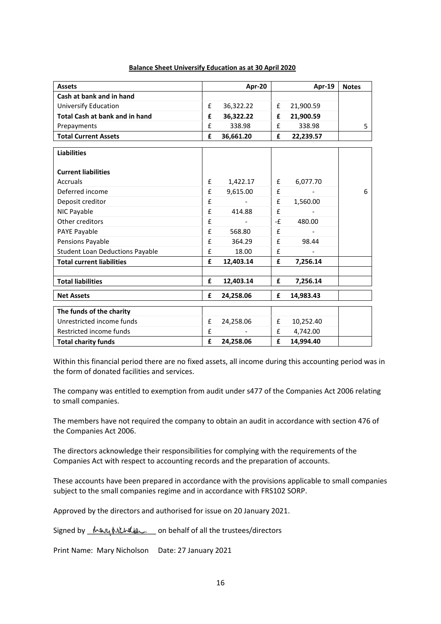#### **Balance Sheet Universify Education as at 30 April 2020**

| <b>Assets</b>                          |   | Apr-20         |    | Apr-19    | <b>Notes</b> |
|----------------------------------------|---|----------------|----|-----------|--------------|
| Cash at bank and in hand               |   |                |    |           |              |
| <b>Universify Education</b>            | £ | 36,322.22      | £  | 21,900.59 |              |
| <b>Total Cash at bank and in hand</b>  | £ | 36,322.22      | £  | 21,900.59 |              |
| Prepayments                            | £ | 338.98         | £  | 338.98    | 5            |
| <b>Total Current Assets</b>            | £ | 36,661.20      | £  | 22,239.57 |              |
|                                        |   |                |    |           |              |
| <b>Liabilities</b>                     |   |                |    |           |              |
| <b>Current liabilities</b>             |   |                |    |           |              |
| Accruals                               | £ | 1,422.17       | £  | 6,077.70  |              |
| Deferred income                        | £ | 9,615.00       | £  |           | 6            |
| Deposit creditor                       | £ |                | £  | 1,560.00  |              |
| NIC Payable                            | £ | 414.88         | £  |           |              |
| Other creditors                        | £ | $\blacksquare$ | -£ | 480.00    |              |
| PAYE Payable                           | £ | 568.80         | £  |           |              |
| Pensions Payable                       | £ | 364.29         | £  | 98.44     |              |
| <b>Student Loan Deductions Payable</b> | £ | 18.00          | £  |           |              |
| <b>Total current liabilities</b>       | £ | 12,403.14      | £  | 7,256.14  |              |
|                                        |   |                |    |           |              |
| <b>Total liabilities</b>               | £ | 12,403.14      | £  | 7,256.14  |              |
| <b>Net Assets</b>                      | £ | 24,258.06      | £  | 14,983.43 |              |
| The funds of the charity               |   |                |    |           |              |
| Unrestricted income funds              | £ | 24,258.06      | £  | 10,252.40 |              |
| Restricted income funds                | £ |                | £  | 4,742.00  |              |
| <b>Total charity funds</b>             | £ | 24,258.06      | £  | 14,994.40 |              |

Within this financial period there are no fixed assets, all income during this accounting period was in the form of donated facilities and services.

The company was entitled to exemption from audit under s477 of the Companies Act 2006 relating to small companies.

The members have not required the company to obtain an audit in accordance with section 476 of the Companies Act 2006.

The directors acknowledge their responsibilities for complying with the requirements of the Companies Act with respect to accounting records and the preparation of accounts.

These accounts have been prepared in accordance with the provisions applicable to small companies subject to the small companies regime and in accordance with FRS102 SORP.

Approved by the directors and authorised for issue on 20 January 2021.

Signed by  $\frac{1}{2}$  Mary MUMID on behalf of all the trustees/directors

Print Name: Mary Nicholson Date: 27 January 2021